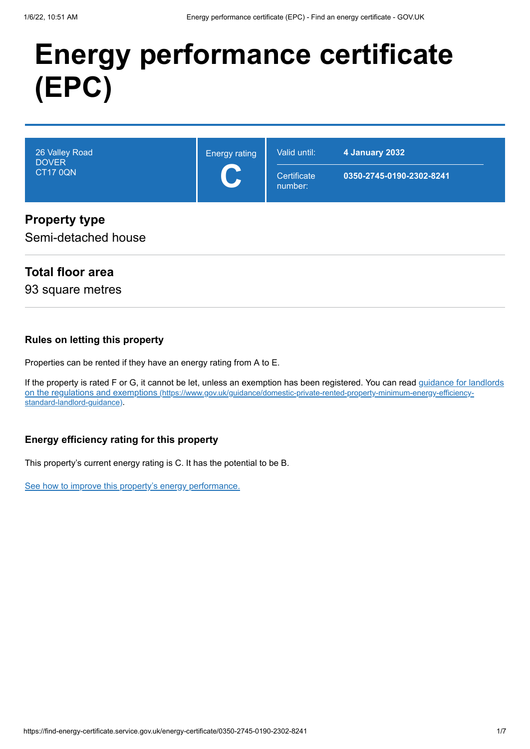# **Energy performance certificate (EPC)**

| 26 Valley Road<br><b>DOVER</b><br><b>CT17 0QN</b> | <b>Energy rating</b><br>$\blacktriangleright$<br>$\overline{\phantom{a}}$ | Valid until:<br>Certificate<br>number: | 4 January 2032<br>0350-2745-0190-2302-8241 |
|---------------------------------------------------|---------------------------------------------------------------------------|----------------------------------------|--------------------------------------------|
| <b>Property type</b>                              |                                                                           |                                        |                                            |

#### Semi-detached house

### **Total floor area**

93 square metres

#### **Rules on letting this property**

Properties can be rented if they have an energy rating from A to E.

If the property is rated F or G, it cannot be let, unless an exemption has been registered. You can read guidance for landlords on the regulations and exemptions (https://www.gov.uk/guidance/domestic-private-rented-property-minimum-energy-efficiencystandard-landlord-guidance).

#### **Energy efficiency rating for this property**

This property's current energy rating is C. It has the potential to be B.

See how to improve this property's energy performance.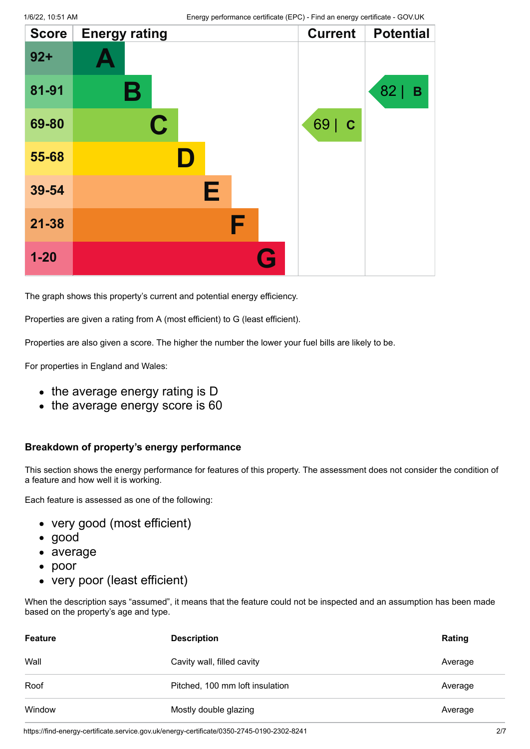| <b>Score</b> | <b>Energy rating</b> |   | <b>Current</b>      | <b>Potential</b> |
|--------------|----------------------|---|---------------------|------------------|
| $92 +$       |                      |   |                     |                  |
| 81-91        | Β                    |   |                     | 82<br>B          |
| 69-80        | $\mathbf C$          |   | 69  <br>$\mathbf C$ |                  |
| 55-68        | ID.                  |   |                     |                  |
| 39-54        |                      | Е |                     |                  |
| 21-38        |                      | F |                     |                  |
| $1 - 20$     |                      | G |                     |                  |

The graph shows this property's current and potential energy efficiency.

Properties are given a rating from A (most efficient) to G (least efficient).

Properties are also given a score. The higher the number the lower your fuel bills are likely to be.

For properties in England and Wales:

- the average energy rating is D
- the average energy score is 60

#### **Breakdown of property's energy performance**

This section shows the energy performance for features of this property. The assessment does not consider the condition of a feature and how well it is working.

Each feature is assessed as one of the following:

- very good (most efficient)
- good
- average
- poor
- very poor (least efficient)

When the description says "assumed", it means that the feature could not be inspected and an assumption has been made based on the property's age and type.

| <b>Feature</b> | <b>Description</b>              | Rating  |
|----------------|---------------------------------|---------|
| Wall           | Cavity wall, filled cavity      | Average |
| Roof           | Pitched, 100 mm loft insulation | Average |
| Window         | Mostly double glazing           | Average |

https://find-energy-certificate.service.gov.uk/energy-certificate/0350-2745-0190-2302-8241 2/7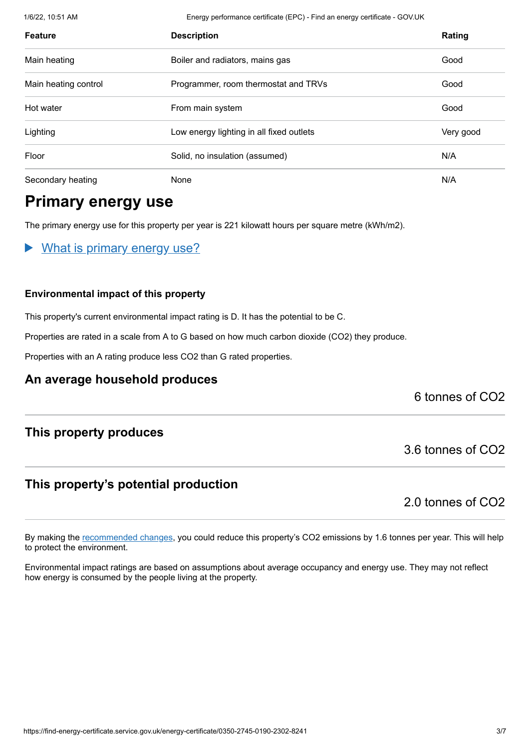1/6/22, 10:51 AM Energy performance certificate (EPC) - Find an energy certificate - GOV.UK

| <b>Feature</b>       | <b>Description</b>                       | Rating    |
|----------------------|------------------------------------------|-----------|
| Main heating         | Boiler and radiators, mains gas          | Good      |
| Main heating control | Programmer, room thermostat and TRVs     | Good      |
| Hot water            | From main system                         | Good      |
| Lighting             | Low energy lighting in all fixed outlets | Very good |
| Floor                | Solid, no insulation (assumed)           | N/A       |
| Secondary heating    | None                                     | N/A       |

## **Primary energy use**

The primary energy use for this property per year is 221 kilowatt hours per square metre (kWh/m2).

What is primary energy use?

#### **Environmental impact of this property**

This property's current environmental impact rating is D. It has the potential to be C.

Properties are rated in a scale from A to G based on how much carbon dioxide (CO2) they produce.

Properties with an A rating produce less CO2 than G rated properties.

#### **An average household produces**

6 tonnes of CO2

#### **This property produces**

#### **This property's potential production**

2.0 tonnes of CO2

3.6 tonnes of CO2

By making the recommended changes, you could reduce this property's CO2 emissions by 1.6 tonnes per year. This will help to protect the environment.

Environmental impact ratings are based on assumptions about average occupancy and energy use. They may not reflect how energy is consumed by the people living at the property.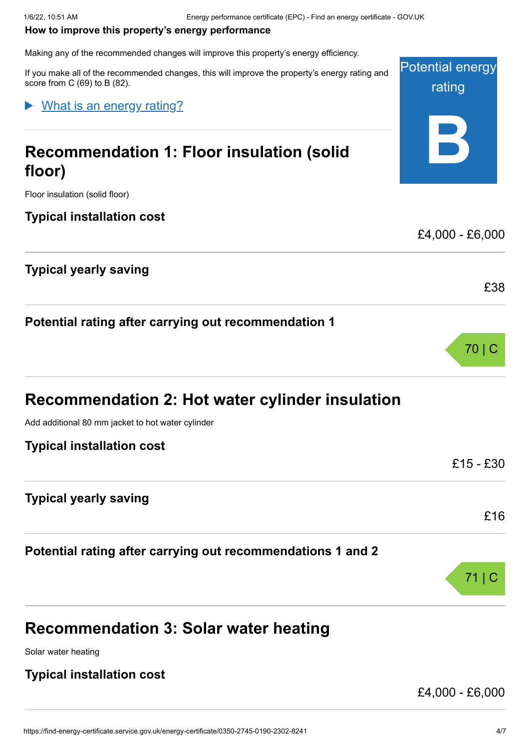#### **How to improve this property's energy performance**

Making any of the recommended changes will improve this property's energy efficiency.

Potential energy rating **B** If you make all of the recommended changes, this will improve the property's energy rating and score from C (69) to B (82). **Recommendation 1: Floor insulation (solid floor)** Floor insulation (solid floor) **Typical installation cost** £4,000 - £6,000 **Typical yearly saving** £38 **Potential rating after carrying out recommendation 1** 70 | C **Recommendation 2: Hot water cylinder insulation** Add additional 80 mm jacket to hot water cylinder **Typical installation cost** £15 - £30 What is an energy rating?

#### **Typical yearly saving**

**Potential rating after carrying out recommendations 1 and 2**

# **Recommendation 3: Solar water heating**

Solar water heating

#### **Typical installation cost**

£4,000 - £6,000

£16

71 | C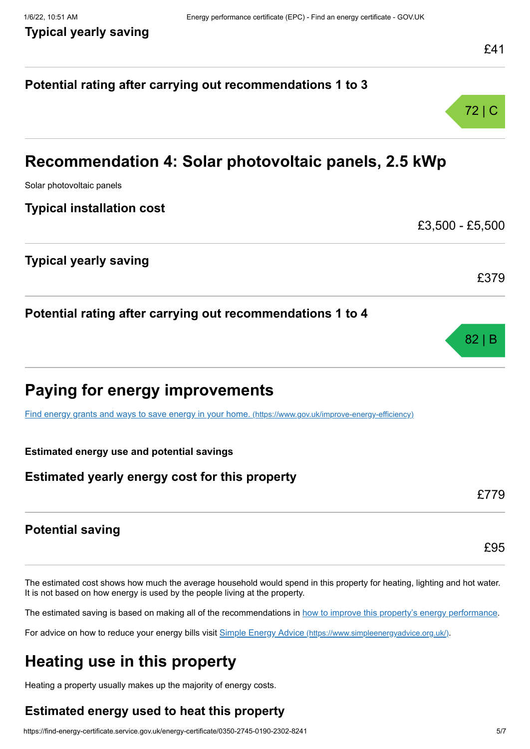# **Potential rating after carrying out recommendations 1 to 3** 72 | C **Recommendation 4: Solar photovoltaic panels, 2.5 kWp** Solar photovoltaic panels **Typical installation cost** £3,500 - £5,500 **Typical yearly saving** £379 **Potential rating after carrying out recommendations 1 to 4** 82 | B **Paying for energy improvements** Find energy grants and ways to save energy in your home. (https://www.gov.uk/improve-energy-efficiency) **Estimated energy use and potential savings Estimated yearly energy cost for this property** £779 **Potential saving** £95

The estimated cost shows how much the average household would spend in this property for heating, lighting and hot water. It is not based on how energy is used by the people living at the property.

The estimated saving is based on making all of the recommendations in how to improve this property's energy performance.

For advice on how to reduce your energy bills visit Simple Energy Advice (https://www.simpleenergyadvice.org.uk/).

# **Heating use in this property**

Heating a property usually makes up the majority of energy costs.

#### **Estimated energy used to heat this property**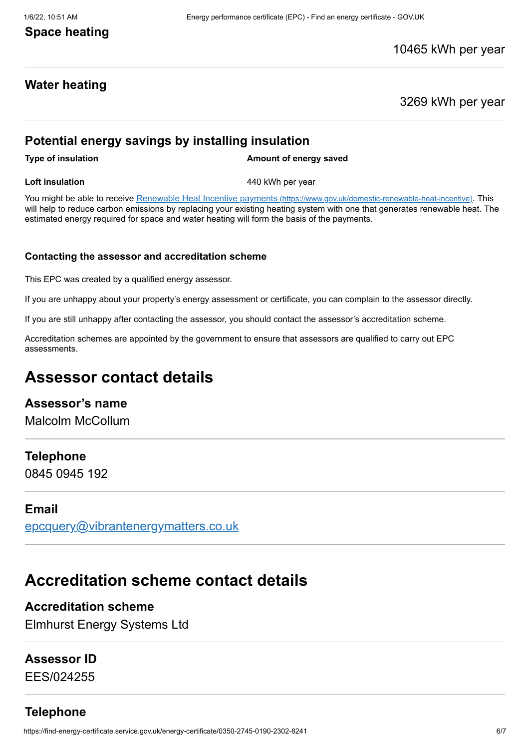#### **Space heating**

#### 10465 kWh per year

#### **Water heating**

3269 kWh per year

#### **Potential energy savings by installing insulation**

**Type of insulation Amount of energy saved** 

**Loft insulation 1440 kWh** per year

You might be able to receive Renewable Heat Incentive payments (https://www.gov.uk/domestic-renewable-heat-incentive). This will help to reduce carbon emissions by replacing your existing heating system with one that generates renewable heat. The estimated energy required for space and water heating will form the basis of the payments.

#### **Contacting the assessor and accreditation scheme**

This EPC was created by a qualified energy assessor.

If you are unhappy about your property's energy assessment or certificate, you can complain to the assessor directly.

If you are still unhappy after contacting the assessor, you should contact the assessor's accreditation scheme.

Accreditation schemes are appointed by the government to ensure that assessors are qualified to carry out EPC assessments.

### **Assessor contact details**

#### **Assessor's name**

Malcolm McCollum

#### **Telephone**

0845 0945 192

#### **Email**

epcquery@vibrantenergymatters.co.uk

# **Accreditation scheme contact details**

#### **Accreditation scheme**

Elmhurst Energy Systems Ltd

#### **Assessor ID**

EES/024255